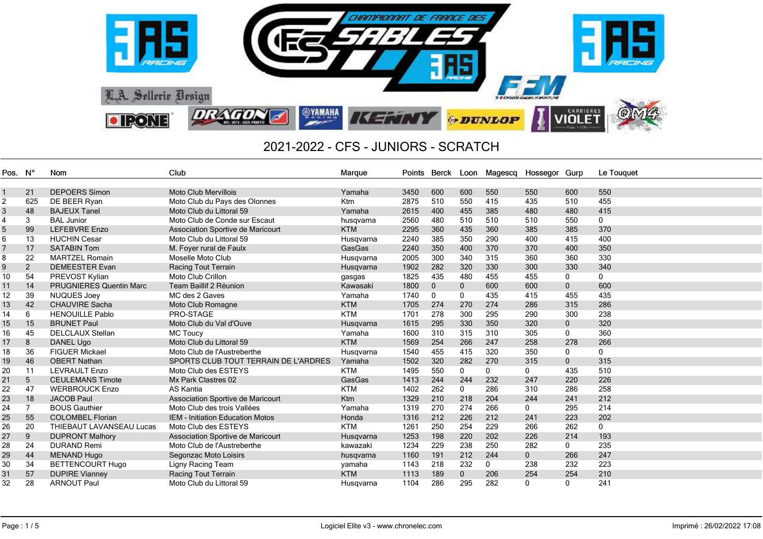

| Pos.            | – N° | Nom                            | Club                                    | Marque     | Points | Berck Loon   |              |              | Magescg Hossegor Gurp |              | Le Touquet  |
|-----------------|------|--------------------------------|-----------------------------------------|------------|--------|--------------|--------------|--------------|-----------------------|--------------|-------------|
|                 |      |                                |                                         |            |        |              |              |              |                       |              |             |
|                 | 21   | <b>DEPOERS Simon</b>           | <b>Moto Club Mervillois</b>             | Yamaha     | 3450   | 600          | 600          | 550          | 550                   | 600          | 550         |
| $\overline{c}$  | 625  | DE BEER Ryan                   | Moto Club du Pays des Olonnes           | <b>Ktm</b> | 2875   | 510          | 550          | 415          | 435                   | 510          | 455         |
| 3               | 48   | <b>BAJEUX Tanel</b>            | Moto Club du Littoral 59                | Yamaha     | 2615   | 400          | 455          | 385          | 480                   | 480          | 415         |
| 4               | 3    | <b>BAL Junior</b>              | Moto Club de Conde sur Escaut           | husqvarna  | 2560   | 480          | 510          | 510          | 510                   | 550          | $\mathbf 0$ |
| 5               | 99   | <b>LEFEBVRE Enzo</b>           | Association Sportive de Maricourt       | <b>KTM</b> | 2295   | 360          | 435          | 360          | 385                   | 385          | 370         |
| 6               | 13   | <b>HUCHIN Cesar</b>            | Moto Club du Littoral 59                | Husqvarna  | 2240   | 385          | 350          | 290          | 400                   | 415          | 400         |
| 7               | 17   | <b>SATABIN Tom</b>             | M. Foyer rural de Faulx                 | GasGas     | 2240   | 350          | 400          | 370          | 370                   | 400          | 350         |
| 8               | 22   | <b>MARTZEL Romain</b>          | Moselle Moto Club                       | Husqvarna  | 2005   | 300          | 340          | 315          | 360                   | 360          | 330         |
| 9               | 2    | <b>DEMEESTER Evan</b>          | Racing Tout Terrain                     | Husqvarna  | 1902   | 282          | 320          | 330          | 300                   | 330          | 340         |
| 10              | 54   | PREVOST Kylian                 | Moto Club Crillon                       | gasgas     | 1825   | 435          | 480          | 455          | 455                   | 0            | 0           |
| 11              | 14   | <b>PRUGNIERES Quentin Marc</b> | Team Baillif 2 Réunion                  | Kawasaki   | 1800   | $\mathbf{0}$ | $\mathbf 0$  | 600          | 600                   | $\mathbf{0}$ | 600         |
| 12              | 39   | <b>NUQUES Joev</b>             | MC des 2 Gaves                          | Yamaha     | 1740   | $\mathbf{0}$ | 0            | 435          | 415                   | 455          | 435         |
| 13              | 42   | <b>CHAUVIRE Sacha</b>          | Moto Club Romagne                       | <b>KTM</b> | 1705   | 274          | 270          | 274          | 286                   | 315          | 286         |
| 14              | 6    | <b>HENOUILLE Pablo</b>         | PRO-STAGE                               | <b>KTM</b> | 1701   | 278          | 300          | 295          | 290                   | 300          | 238         |
| 15              | 15   | <b>BRUNET Paul</b>             | Moto Club du Val d'Ouve                 | Husgvarna  | 1615   | 295          | 330          | 350          | 320                   | $\mathbf{0}$ | 320         |
| 16              | 45   | <b>DELCLAUX Stellan</b>        | <b>MC Toucy</b>                         | Yamaha     | 1600   | 310          | 315          | 310          | 305                   | 0            | 360         |
| 17              | 8    | <b>DANEL Ugo</b>               | Moto Club du Littoral 59                | <b>KTM</b> | 1569   | 254          | 266          | 247          | 258                   | 278          | 266         |
| 18              | 36   | <b>FIGUER Mickael</b>          | Moto Club de l'Austreberthe             | Husgvarna  | 1540   | 455          | 415          | 320          | 350                   | 0            | $\mathbf 0$ |
| 19              | 46   | <b>OBERT Nathan</b>            | SPORTS CLUB TOUT TERRAIN DE L'ARDRES    | Yamaha     | 1502   | 320          | 282          | 270          | 315                   | $\mathbf{0}$ | 315         |
| 20              | 11   | <b>LEVRAULT Enzo</b>           | Moto Club des ESTEYS                    | <b>KTM</b> | 1495   | 550          | 0            | $\mathbf{0}$ | 0                     | 435          | 510         |
| $\overline{21}$ | 5    | <b>CEULEMANS Timote</b>        | Mx Park Clastres 02                     | GasGas     | 1413   | 244          | 244          | 232          | 247                   | 220          | 226         |
| 22              | 47   | <b>WERBROUCK Enzo</b>          | <b>AS Kantia</b>                        | <b>KTM</b> | 1402   | 262          | 0            | 286          | 310                   | 286          | 258         |
| 23              | 18   | <b>JACOB Paul</b>              | Association Sportive de Maricourt       | <b>Ktm</b> | 1329   | 210          | 218          | 204          | 244                   | 241          | 212         |
| 24              |      | <b>BOUS Gauthier</b>           | Moto Club des trois Vallées             | Yamaha     | 1319   | 270          | 274          | 266          | 0                     | 295          | 214         |
| 25              | 55   | <b>COLOMBEL Florian</b>        | <b>IEM - Initiation Education Motos</b> | Honda      | 1316   | 212          | 226          | 212          | 241                   | 223          | 202         |
| 26              | 20   | THIEBAUT LAVANSEAU Lucas       | Moto Club des ESTEYS                    | <b>KTM</b> | 1261   | 250          | 254          | 229          | 266                   | 262          | $\mathbf 0$ |
| 27              | 9    | <b>DUPRONT Malhory</b>         | Association Sportive de Maricourt       | Husqvarna  | 1253   | 198          | 220          | 202          | 226                   | 214          | 193         |
| 28              | 24   | <b>DURAND Remi</b>             | Moto Club de l'Austreberthe             | kawazaki   | 1234   | 229          | 238          | 250          | 282                   | $\mathbf 0$  | 235         |
| 29              | 44   | <b>MENAND Hugo</b>             | Segonzac Moto Loisirs                   | husqvarna  | 1160   | 191          | 212          | 244          | $\mathbf 0$           | 266          | 247         |
| 30              | 34   | <b>BETTENCOURT Hugo</b>        | Ligny Racing Team                       | yamaha     | 1143   | 218          | 232          | $\mathbf{0}$ | 238                   | 232          | 223         |
| 31              | 57   | <b>DUPIRE Vianney</b>          | <b>Racing Tout Terrain</b>              | <b>KTM</b> | 1113   | 189          | $\mathbf{0}$ | 206          | 254                   | 254          | 210         |
| 32              | 28   | <b>ARNOUT Paul</b>             | Moto Club du Littoral 59                | Husqvarna  | 1104   | 286          | 295          | 282          | $\Omega$              | 0            | 241         |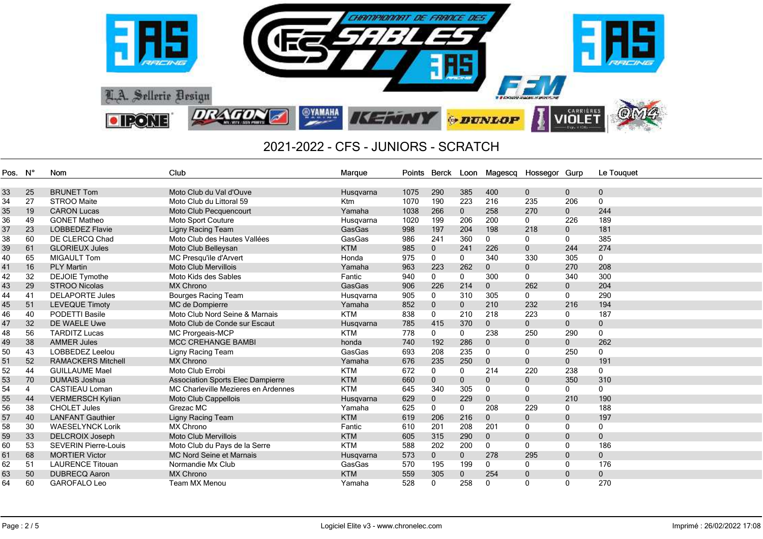

| Pos. N° |                | <b>Nom</b>                  | Club                                     | Marque     | Points | Berck Loon   |              |              | Magescq Hossegor Gurp |              | Le Touquet     |
|---------|----------------|-----------------------------|------------------------------------------|------------|--------|--------------|--------------|--------------|-----------------------|--------------|----------------|
|         |                |                             |                                          |            |        |              |              |              |                       |              |                |
| 33      | 25             | <b>BRUNET Tom</b>           | Moto Club du Val d'Ouve                  | Husgvarna  | 1075   | 290          | 385          | 400          | $\mathbf{0}$          | $\mathbf{0}$ | 0              |
| 34      | 27             | STROO Maite                 | Moto Club du Littoral 59                 | Ktm        | 1070   | 190          | 223          | 216          | 235                   | 206          | $\mathbf{0}$   |
| 35      | 19             | <b>CARON Lucas</b>          | Moto Club Pecquencourt                   | Yamaha     | 1038   | 266          | $\mathbf 0$  | 258          | 270                   | $\mathbf 0$  | 244            |
| 36      | 49             | <b>GONET Matheo</b>         | Moto Sport Couture                       | Husgvarna  | 1020   | 199          | 206          | 200          | $\Omega$              | 226          | 189            |
| 37      | 23             | <b>LOBBEDEZ Flavie</b>      | Ligny Racing Team                        | GasGas     | 998    | 197          | 204          | 198          | 218                   | $\mathbf{0}$ | 181            |
| 38      | 60             | DE CLERCQ Chad              | Moto Club des Hautes Vallées             | GasGas     | 986    | 241          | 360          | $\Omega$     | 0                     | 0            | 385            |
| 39      | 61             | <b>GLORIEUX Jules</b>       | Moto Club Belleysan                      | <b>KTM</b> | 985    | $\mathbf 0$  | 241          | 226          | $\mathbf{0}$          | 244          | 274            |
| 40      | 65             | <b>MIGAULT Tom</b>          | MC Presqu'ile d'Arvert                   | Honda      | 975    | $\mathbf 0$  | 0            | 340          | 330                   | 305          | 0              |
| 41      | 16             | <b>PLY Martin</b>           | <b>Moto Club Mervillois</b>              | Yamaha     | 963    | 223          | 262          | $\mathbf 0$  | $\mathbf 0$           | 270          | 208            |
| 42      | 32             | <b>DEJOIE Tymothe</b>       | Moto Kids des Sables                     | Fantic     | 940    | $\mathbf 0$  | 0            | 300          | $\mathbf 0$           | 340          | 300            |
| 43      | 29             | <b>STROO Nicolas</b>        | <b>MX Chrono</b>                         | GasGas     | 906    | 226          | 214          | $\mathbf{0}$ | 262                   | $\mathbf{0}$ | 204            |
| 44      | 41             | <b>DELAPORTE Jules</b>      | Bourges Racing Team                      | Husqvarna  | 905    | $\mathbf{0}$ | 310          | 305          | $\mathbf{0}$          | $\mathbf{0}$ | 290            |
| 45      | 51             | <b>LEVEQUE Timoty</b>       | MC de Dompierre                          | Yamaha     | 852    | $\mathbf{0}$ | $\mathbf{0}$ | 210          | 232                   | 216          | 194            |
| 46      | 40             | <b>PODETTI Basile</b>       | Moto Club Nord Seine & Marnais           | <b>KTM</b> | 838    | $\mathbf 0$  | 210          | 218          | 223                   | $\mathbf{0}$ | 187            |
| 47      | 32             | DE WAELE Uwe                | Moto Club de Conde sur Escaut            | Husqvarna  | 785    | 415          | 370          | $\mathbf{0}$ | $\mathbf{0}$          | $\mathbf{0}$ | 0              |
| 48      | 56             | <b>TARDITZ Lucas</b>        | MC Prorgeais-MCP                         | <b>KTM</b> | 778    | $\mathbf{0}$ | 0            | 238          | 250                   | 290          | $\mathbf 0$    |
| 49      | 38             | <b>AMMER Jules</b>          | <b>MCC CREHANGE BAMBI</b>                | honda      | 740    | 192          | 286          | $\Omega$     | $\mathbf{0}$          | $\mathbf{0}$ | 262            |
| 50      | 43             | LOBBEDEZ Leelou             | Ligny Racing Team                        | GasGas     | 693    | 208          | 235          | $\Omega$     | $\Omega$              | 250          | 0              |
| 51      | 52             | <b>RAMACKERS Mitchell</b>   | <b>MX Chrono</b>                         | Yamaha     | 676    | 235          | 250          | $\mathbf{0}$ | $\mathbf{0}$          | $\mathbf{0}$ | 191            |
| 52      | 44             | <b>GUILLAUME Mael</b>       | Moto Club Errobi                         | <b>KTM</b> | 672    | $\mathbf{0}$ | 0            | 214          | 220                   | 238          | 0              |
| 53      | 70             | <b>DUMAIS Joshua</b>        | <b>Association Sports Elec Dampierre</b> | <b>KTM</b> | 660    | $\mathbf 0$  | $\mathbf{0}$ | $\mathbf 0$  | $\mathbf{0}$          | 350          | 310            |
| 54      | $\overline{4}$ | <b>CASTIEAU Loman</b>       | MC Charleville Mezieres en Ardennes      | <b>KTM</b> | 645    | 340          | 305          | 0            | 0                     | 0            | 0              |
| 55      | 44             | <b>VERMERSCH Kylian</b>     | Moto Club Cappellois                     | Husqvarna  | 629    | $\mathbf{0}$ | 229          | $\mathbf{0}$ | $\mathbf{0}$          | 210          | 190            |
| 56      | 38             | <b>CHOLET Jules</b>         | Grezac MC                                | Yamaha     | 625    | $\mathbf 0$  | 0            | 208          | 229                   | $\mathbf{0}$ | 188            |
| 57      | 40             | <b>LANFANT Gauthier</b>     | Ligny Racing Team                        | <b>KTM</b> | 619    | 206          | 216          | $\mathbf{0}$ | $\mathbf{0}$          | $\mathbf{0}$ | 197            |
| 58      | 30             | <b>WAESELYNCK Lorik</b>     | MX Chrono                                | Fantic     | 610    | 201          | 208          | 201          | $\Omega$              | $\Omega$     | 0              |
| 59      | 33             | <b>DELCROIX Joseph</b>      | <b>Moto Club Mervillois</b>              | <b>KTM</b> | 605    | 315          | 290          | $\mathbf{0}$ | $\mathbf{0}$          | $\mathbf{0}$ | $\mathbf{0}$   |
| 60      | 53             | <b>SEVERIN Pierre-Louis</b> | Moto Club du Pays de la Serre            | <b>KTM</b> | 588    | 202          | 200          | $\mathbf{0}$ | $\mathbf{0}$          | $\mathbf{0}$ | 186            |
| 61      | 68             | <b>MORTIER Victor</b>       | <b>MC Nord Seine et Marnais</b>          | Husqvarna  | 573    | $\mathbf{0}$ | $\mathbf{0}$ | 278          | 295                   | $\mathbf{0}$ | $\overline{0}$ |
| 62      | 51             | <b>LAURENCE Titouan</b>     | Normandie Mx Club                        | GasGas     | 570    | 195          | 199          | 0            | $\mathbf{0}$          | $\mathbf{0}$ | 176            |
| 63      | 50             | <b>DUBRECQ Aaron</b>        | <b>MX Chrono</b>                         | <b>KTM</b> | 559    | 305          | $\mathbf{0}$ | 254          | $\mathbf{0}$          | $\mathbf{0}$ | 0              |
| 64      | 60             | GAROFALO Leo                | <b>Team MX Menou</b>                     | Yamaha     | 528    | 0            | 258          | 0            | $\Omega$              | $\Omega$     | 270            |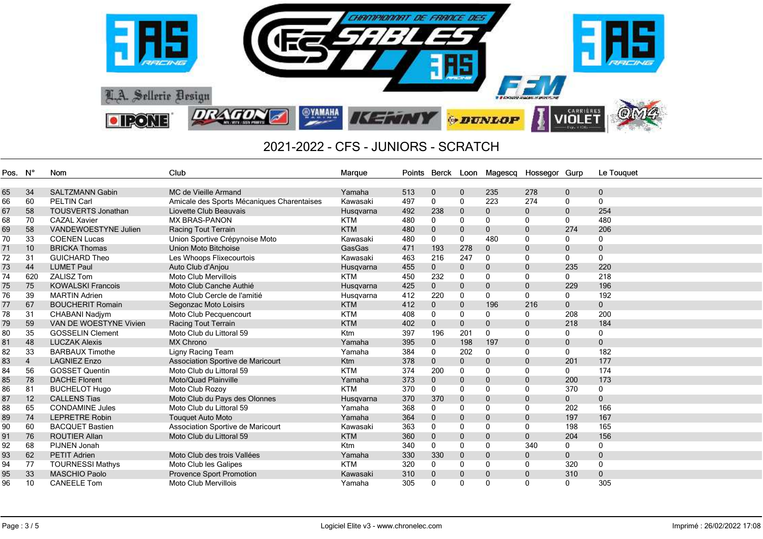

| Pos. | - N°           | Nom                         | Club                                       | Marque          | Points | Berck        | Loon         | Magescq      | Hossegor Gurp |              | Le Touquet   |
|------|----------------|-----------------------------|--------------------------------------------|-----------------|--------|--------------|--------------|--------------|---------------|--------------|--------------|
|      |                |                             |                                            |                 |        |              |              |              |               |              |              |
| 65   | 34             | <b>SALTZMANN Gabin</b>      | MC de Vieille Armand                       | Yamaha          | 513    | $\mathbf 0$  | $\mathbf{0}$ | 235          | 278           | $\mathbf 0$  | $\mathbf{0}$ |
| 66   | 60             | <b>PELTIN Carl</b>          | Amicale des Sports Mécaniques Charentaises | Kawasaki        | 497    | 0            | 0            | 223          | 274           | 0            | $\mathbf{0}$ |
| 67   | 58             | <b>TOUSVERTS Jonathan</b>   | Liovette Club Beauvais                     | Husgvarna       | 492    | 238          | $\mathbf 0$  | $\mathbf{0}$ | 0             | $\mathbf 0$  | 254          |
| 68   | 70             | <b>CAZAL Xavier</b>         | <b>MX BRAS-PANON</b>                       | <b>KTM</b>      | 480    | $\mathbf{0}$ | $\mathbf 0$  | $\mathbf{0}$ | $\mathbf{0}$  | $\mathbf 0$  | 480          |
| 69   | 58             | <b>VANDEWOESTYNE Julien</b> | <b>Racing Tout Terrain</b>                 | <b>KTM</b>      | 480    | $\mathbf{0}$ | $\mathbf{0}$ | $\mathbf{0}$ | $\mathbf{0}$  | 274          | 206          |
| 70   | 33             | <b>COENEN Lucas</b>         | Union Sportive Crépynoise Moto             | Kawasaki        | 480    | $\mathbf{0}$ | 0            | 480          | $\mathbf{0}$  | $\mathbf{0}$ | $\mathbf{0}$ |
| 71   | 10             | <b>BRICKA Thomas</b>        | Union Moto Bitchoise                       | GasGas          | 471    | 193          | 278          | $\mathbf{0}$ | $\mathbf 0$   | $\mathbf 0$  | $\mathbf{0}$ |
| 72   | 31             | <b>GUICHARD Theo</b>        | Les Whoops Flixecourtois                   | Kawasaki        | 463    | 216          | 247          | $\mathbf{0}$ | 0             | 0            | $\Omega$     |
| 73   | 44             | <b>LUMET Paul</b>           | Auto Club d'Anjou                          | Husqvarna       | 455    | $\bf{0}$     | 0            | $\mathbf{0}$ | $\mathbf 0$   | 235          | 220          |
| 74   | 620            | <b>ZALISZ Tom</b>           | <b>Moto Club Mervillois</b>                | <b>KTM</b>      | 450    | 232          | 0            | 0            | $\mathbf 0$   | 0            | 218          |
| 75   | 75             | <b>KOWALSKI Francois</b>    | Moto Club Canche Authié                    | Husqvarna       | 425    | $\mathbf{0}$ | 0            | $\mathbf{0}$ | $\mathbf{0}$  | 229          | 196          |
| 76   | 39             | <b>MARTIN Adrien</b>        | Moto Club Cercle de l'amitié               | Husgvarna       | 412    | 220          | 0            | 0            | 0             | 0            | 192          |
| 77   | 67             | <b>BOUCHERIT Romain</b>     | Segonzac Moto Loisirs                      | <b>KTM</b>      | 412    | $\mathbf{0}$ | $\mathbf{0}$ | 196          | 216           | $\mathbf{0}$ | $\mathbf{0}$ |
| 78   | 31             | CHABANI Nadjym              | Moto Club Pecquencourt                     | <b>KTM</b>      | 408    | $\mathbf{0}$ | 0            | 0            | 0             | 208          | 200          |
| 79   | 59             | VAN DE WOESTYNE Vivien      | <b>Racing Tout Terrain</b>                 | <b>KTM</b>      | 402    | $\mathbf{0}$ | 0            | $\mathbf{0}$ | 0             | 218          | 184          |
| 80   | 35             | <b>GOSSELIN Clement</b>     | Moto Club du Littoral 59                   | <b>Ktm</b>      | 397    | 196          | 201          | 0            | 0             | 0            | 0            |
| 81   | 48             | <b>LUCZAK Alexis</b>        | <b>MX Chrono</b>                           | Yamaha          | 395    | $\mathbf 0$  | 198          | 197          | $\mathbf 0$   | $\mathbf 0$  | $\mathbf{0}$ |
| 82   | 33             | <b>BARBAUX Timothe</b>      | Ligny Racing Team                          | Yamaha          | 384    | $\Omega$     | 202          | $\mathbf{0}$ | $\mathbf{0}$  | $\mathbf{0}$ | 182          |
| 83   | $\overline{4}$ | <b>LAGNIEZ Enzo</b>         | Association Sportive de Maricourt          | K <sub>tm</sub> | 378    | $\mathbf{0}$ | 0            | $\mathbf{0}$ | $\mathbf{0}$  | 201          | 177          |
| 84   | 56             | <b>GOSSET Quentin</b>       | Moto Club du Littoral 59                   | <b>KTM</b>      | 374    | 200          | 0            | 0            | $\mathbf 0$   | 0            | 174          |
| 85   | 78             | <b>DACHE Florent</b>        | Moto/Quad Plainville                       | Yamaha          | 373    | $\mathbf{0}$ | 0            | $\mathbf 0$  | $\mathbf 0$   | 200          | 173          |
| 86   | 81             | <b>BUCHELOT Hugo</b>        | Moto Club Rozoy                            | <b>KTM</b>      | 370    | $\Omega$     | 0            | 0            | $\mathbf{0}$  | 370          | $\mathbf 0$  |
| 87   | 12             | <b>CALLENS Tias</b>         | Moto Club du Pays des Olonnes              | Husqvarna       | 370    | 370          | $\mathbf 0$  | $\mathbf{0}$ | $\mathbf 0$   | 0            | $\mathbf{0}$ |
| 88   | 65             | <b>CONDAMINE Jules</b>      | Moto Club du Littoral 59                   | Yamaha          | 368    | 0            | 0            | 0            | $\mathbf 0$   | 202          | 166          |
| 89   | 74             | <b>LEPRETRE Robin</b>       | <b>Touguet Auto Moto</b>                   | Yamaha          | 364    | $\mathbf 0$  | 0            | $\mathbf 0$  | $\mathbf 0$   | 197          | 167          |
| 90   | 60             | <b>BACQUET Bastien</b>      | Association Sportive de Maricourt          | Kawasaki        | 363    | $\Omega$     | 0            | 0            | $\mathbf 0$   | 198          | 165          |
| 91   | 76             | <b>ROUTIER Allan</b>        | Moto Club du Littoral 59                   | <b>KTM</b>      | 360    | $\mathbf{0}$ | $\mathbf{0}$ | $\mathbf{0}$ | $\mathbf{0}$  | 204          | 156          |
| 92   | 68             | PIJNEN Jonah                |                                            | <b>Ktm</b>      | 340    | $\mathbf{0}$ | 0            | 0            | 340           | 0            | 0            |
| 93   | 62             | <b>PETIT Adrien</b>         | Moto Club des trois Vallées                | Yamaha          | 330    | 330          | 0            | $\mathbf 0$  | 0             | 0            | $\mathbf 0$  |
| 94   | 77             | <b>TOURNESSI Mathys</b>     | Moto Club les Galipes                      | <b>KTM</b>      | 320    | $\mathbf{0}$ | 0            | 0            | $\mathbf 0$   | 320          | 0            |
| 95   | 33             | <b>MASCHIO Paolo</b>        | <b>Provence Sport Promotion</b>            | Kawasaki        | 310    | $\Omega$     | 0            | $\mathbf{0}$ | $\mathbf 0$   | 310          | $\mathbf{0}$ |
| 96   | 10             | <b>CANEELE Tom</b>          | Moto Club Mervillois                       | Yamaha          | 305    | $\Omega$     | 0            | $\mathbf{0}$ | $\mathbf{0}$  | 0            | 305          |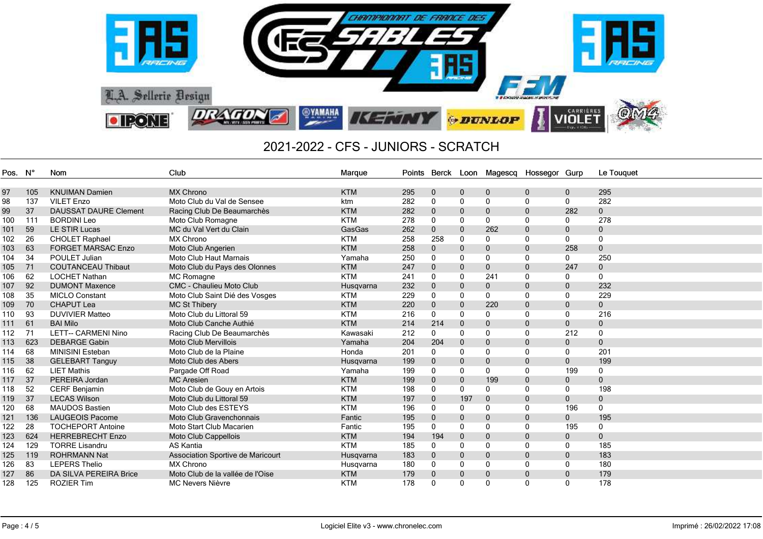

| Pos. N° |     | Nom                          | Club                              | Marque     | Points | Berck        |              | Loon Magescq Hossegor Gurp |              |              | Le Touquet   |
|---------|-----|------------------------------|-----------------------------------|------------|--------|--------------|--------------|----------------------------|--------------|--------------|--------------|
|         |     |                              |                                   |            |        |              |              |                            |              |              |              |
| 97      | 105 | <b>KNUIMAN Damien</b>        | <b>MX Chrono</b>                  | <b>KTM</b> | 295    | $\mathbf 0$  | $\mathbf 0$  | $\mathbf 0$                | $\mathbf 0$  | $\mathbf 0$  | 295          |
| 98      | 137 | <b>VILET Enzo</b>            | Moto Club du Val de Sensee        | ktm        | 282    | $\mathbf{0}$ | $\Omega$     | 0                          | 0            | 0            | 282          |
| 99      | 37  | <b>DAUSSAT DAURE Clement</b> | Racing Club De Beaumarchès        | <b>KTM</b> | 282    | $\mathbf{0}$ | $\Omega$     | $\mathbf 0$                | $\mathbf 0$  | 282          | $\pmb{0}$    |
| 100     | 111 | <b>BORDINI Leo</b>           | Moto Club Romagne                 | <b>KTM</b> | 278    | $\mathbf{0}$ | 0            | 0                          | 0            | $\mathbf{0}$ | 278          |
| 101     | 59  | LE STIR Lucas                | MC du Val Vert du Clain           | GasGas     | 262    | $\mathbf{0}$ | $\mathbf{0}$ | 262                        | $\mathbf{0}$ | $\mathbf{0}$ | $\mathbf 0$  |
| 102     | 26  | <b>CHOLET Raphael</b>        | <b>MX Chrono</b>                  | <b>KTM</b> | 258    | 258          | 0            | 0                          | 0            | 0            | $\mathbf 0$  |
| 103     | 63  | <b>FORGET MARSAC Enzo</b>    | Moto Club Angerien                | <b>KTM</b> | 258    | 0            | $\mathbf{0}$ | $\mathbf 0$                | $\mathbf 0$  | 258          | $\mathbf 0$  |
| 104     | 34  | POULET Julian                | <b>Moto Club Haut Marnais</b>     | Yamaha     | 250    | 0            | 0            | 0                          | 0            | 0            | 250          |
| 105     | 71  | <b>COUTANCEAU Thibaut</b>    | Moto Club du Pays des Olonnes     | <b>KTM</b> | 247    | $\mathbf{0}$ | $\mathbf 0$  | $\mathbf 0$                | $\mathbf 0$  | 247          | $\pmb{0}$    |
| 106     | 62  | <b>LOCHET Nathan</b>         | MC Romagne                        | <b>KTM</b> | 241    | $\mathbf{0}$ | 0            | 241                        | 0            | 0            | 0            |
| 107     | 92  | <b>DUMONT Maxence</b>        | <b>CMC - Chaulieu Moto Club</b>   | Husqvarna  | 232    | $\mathbf{0}$ | $\mathbf{0}$ | $\mathbf 0$                | $\mathbf{0}$ | $\mathbf{0}$ | 232          |
| 108     | 35  | <b>MICLO Constant</b>        | Moto Club Saint Dié des Vosges    | <b>KTM</b> | 229    | 0            | 0            | 0                          | 0            | 0            | 229          |
| 109     | 70  | <b>CHAPUT Lea</b>            | <b>MC St Thibery</b>              | <b>KTM</b> | 220    | 0            | $\mathbf{0}$ | 220                        | $\mathbf 0$  | $\mathbf 0$  | $\mathbf 0$  |
| 110     | 93  | <b>DUVIVIER Matteo</b>       | Moto Club du Littoral 59          | <b>KTM</b> | 216    | 0            | $\Omega$     | $\mathbf{0}$               | 0            | 0            | 216          |
| 111     | 61  | <b>BAI Milo</b>              | Moto Club Canche Authié           | <b>KTM</b> | 214    | 214          | $\mathbf{0}$ | $\mathbf 0$                | $\mathbf 0$  | $\mathbf 0$  | $\mathbf 0$  |
| 112     | 71  | <b>LETT-- CARMENI Nino</b>   | Racing Club De Beaumarchès        | Kawasaki   | 212    | $\mathbf{0}$ | 0            | 0                          | 0            | 212          | 0            |
| 113     | 623 | <b>DEBARGE Gabin</b>         | Moto Club Mervillois              | Yamaha     | 204    | 204          | $\Omega$     | $\mathbf{0}$               | $\mathbf{0}$ | $\mathbf{0}$ | $\Omega$     |
| 114     | 68  | <b>MINISINI Esteban</b>      | Moto Club de la Plaine            | Honda      | 201    | $\mathbf{0}$ | $\Omega$     | $\mathbf{0}$               | 0            | 0            | 201          |
| 115     | 38  | <b>GELEBART Tanguy</b>       | Moto Club des Abers               | Husqvarna  | 199    | 0            | $\Omega$     | $\mathbf 0$                | $\mathbf 0$  | $\mathbf 0$  | 199          |
| 116     | 62  | <b>LIET Mathis</b>           | Pargade Off Road                  | Yamaha     | 199    | 0            | $\Omega$     | $\mathbf{0}$               | 0            | 199          | $\mathbf 0$  |
| 117     | 37  | PEREIRA Jordan               | <b>MC Aresien</b>                 | <b>KTM</b> | 199    | 0            | $\mathbf 0$  | 199                        | $\mathbf 0$  | $\mathbf 0$  | $\mathbf 0$  |
| 118     | 52  | <b>CERF Benjamin</b>         | Moto Club de Gouy en Artois       | <b>KTM</b> | 198    | 0            | 0            | 0                          | 0            | 0            | 198          |
| 119     | 37  | <b>LECAS Wilson</b>          | Moto Club du Littoral 59          | <b>KTM</b> | 197    | $\mathbf{0}$ | 197          | $\mathbf{0}$               | $\mathbf{0}$ | $\mathbf{0}$ | $\mathbf{0}$ |
| 120     | 68  | <b>MAUDOS Bastien</b>        | Moto Club des ESTEYS              | <b>KTM</b> | 196    | $\mathbf{0}$ | $\Omega$     | $\mathbf{0}$               | $\mathbf{0}$ | 196          | $\mathbf{0}$ |
| 121     | 136 | <b>LAUGEOIS Pacome</b>       | Moto Club Gravenchonnais          | Fantic     | 195    | 0            | $\mathbf{0}$ | $\mathbf 0$                | $\mathbf{0}$ | $\mathbf{0}$ | 195          |
| 122     | 28  | <b>TOCHEPORT Antoine</b>     | Moto Start Club Macarien          | Fantic     | 195    | $\mathbf{0}$ | $\Omega$     | 0                          | 0            | 195          | 0            |
| 123     | 624 | <b>HERREBRECHT Enzo</b>      | Moto Club Cappellois              | <b>KTM</b> | 194    | 194          | $\mathbf{0}$ | $\mathbf 0$                | $\mathbf{0}$ | $\mathbf 0$  | $\mathbf{0}$ |
| 124     | 129 | <b>TORRE Lisandru</b>        | <b>AS Kantia</b>                  | <b>KTM</b> | 185    | $\mathbf{0}$ | $\Omega$     | 0                          | 0            | 0            | 185          |
| 125     | 119 | <b>ROHRMANN Nat</b>          | Association Sportive de Maricourt | Husqvarna  | 183    | $\mathbf{0}$ | $\mathbf{0}$ | $\mathbf 0$                | $\mathbf{0}$ | $\mathbf{0}$ | 183          |
| 126     | 83  | <b>LEPERS Thelio</b>         | <b>MX Chrono</b>                  | Husqvarna  | 180    | $\mathbf{0}$ | 0            | 0                          | 0            | 0            | 180          |
| 127     | 86  | DA SILVA PEREIRA Brice       | Moto Club de la vallée de l'Oise  | <b>KTM</b> | 179    | 0            | $\mathbf{0}$ | $\mathbf{0}$               | $\mathbf{0}$ | $\mathbf{0}$ | 179          |
| 128     | 125 | <b>ROZIER Tim</b>            | <b>MC Nevers Nièvre</b>           | <b>KTM</b> | 178    | 0            | $\Omega$     | $\Omega$                   | 0            | 0            | 178          |